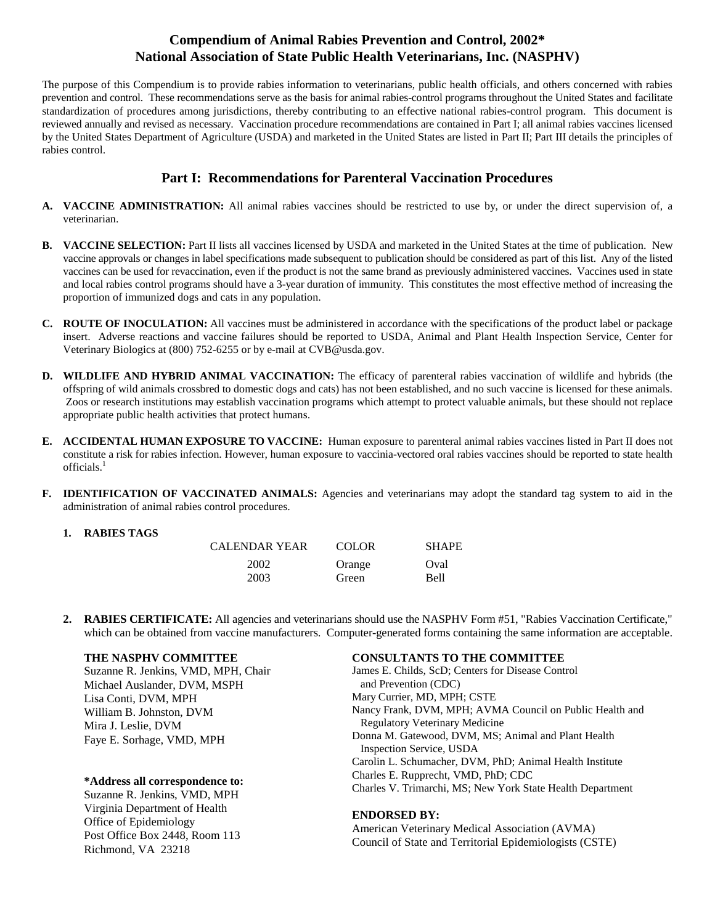# **Compendium of Animal Rabies Prevention and Control, 2002\* National Association of State Public Health Veterinarians, Inc. (NASPHV)**

The purpose of this Compendium is to provide rabies information to veterinarians, public health officials, and others concerned with rabies prevention and control. These recommendations serve as the basis for animal rabies-control programs throughout the United States and facilitate standardization of procedures among jurisdictions, thereby contributing to an effective national rabies-control program. This document is reviewed annually and revised as necessary. Vaccination procedure recommendations are contained in Part I; all animal rabies vaccines licensed by the United States Department of Agriculture (USDA) and marketed in the United States are listed in Part II; Part III details the principles of rabies control.

# **Part I: Recommendations for Parenteral Vaccination Procedures**

- **A. VACCINE ADMINISTRATION:** All animal rabies vaccines should be restricted to use by, or under the direct supervision of, a veterinarian.
- **B. VACCINE SELECTION:** Part II lists all vaccines licensed by USDA and marketed in the United States at the time of publication. New vaccine approvals or changes in label specifications made subsequent to publication should be considered as part of this list. Any of the listed vaccines can be used for revaccination, even if the product is not the same brand as previously administered vaccines. Vaccines used in state and local rabies control programs should have a 3-year duration of immunity. This constitutes the most effective method of increasing the proportion of immunized dogs and cats in any population.
- **C. ROUTE OF INOCULATION:** All vaccines must be administered in accordance with the specifications of the product label or package insert. Adverse reactions and vaccine failures should be reported to USDA, Animal and Plant Health Inspection Service, Center for Veterinary Biologics at (800) 752-6255 or by e-mail at CVB@usda.gov.
- **D. WILDLIFE AND HYBRID ANIMAL VACCINATION:** The efficacy of parenteral rabies vaccination of wildlife and hybrids (the offspring of wild animals crossbred to domestic dogs and cats) has not been established, and no such vaccine is licensed for these animals. Zoos or research institutions may establish vaccination programs which attempt to protect valuable animals, but these should not replace appropriate public health activities that protect humans.
- **E. ACCIDENTAL HUMAN EXPOSURE TO VACCINE:** Human exposure to parenteral animal rabies vaccines listed in Part II does not constitute a risk for rabies infection. However, human exposure to vaccinia-vectored oral rabies vaccines should be reported to state health officials.<sup>1</sup>
- **F. IDENTIFICATION OF VACCINATED ANIMALS:** Agencies and veterinarians may adopt the standard tag system to aid in the administration of animal rabies control procedures.

| 1. | <b>RABIES TAGS</b> |
|----|--------------------|
|    |                    |

| CALENDAR YEAR | <b>COLOR</b> | <b>SHAPE</b> |
|---------------|--------------|--------------|
| 2002          | Orange       | Oval         |
| 2003          | Green        | Bell         |

**2. RABIES CERTIFICATE:** All agencies and veterinarians should use the NASPHV Form #51, "Rabies Vaccination Certificate," which can be obtained from vaccine manufacturers. Computer-generated forms containing the same information are acceptable.

# **THE NASPHV COMMITTEE**

Suzanne R. Jenkins, VMD, MPH, Chair Michael Auslander, DVM, MSPH Lisa Conti, DVM, MPH William B. Johnston, DVM Mira J. Leslie, DVM Faye E. Sorhage, VMD, MPH

# **\*Address all correspondence to:**

Suzanne R. Jenkins, VMD, MPH Virginia Department of Health Office of Epidemiology Post Office Box 2448, Room 113 Richmond, VA 23218

#### **CONSULTANTS TO THE COMMITTEE**

James E. Childs, ScD; Centers for Disease Control and Prevention (CDC) Mary Currier, MD, MPH; CSTE Nancy Frank, DVM, MPH; AVMA Council on Public Health and Regulatory Veterinary Medicine Donna M. Gatewood, DVM, MS; Animal and Plant Health Inspection Service, USDA Carolin L. Schumacher, DVM, PhD; Animal Health Institute Charles E. Rupprecht, VMD, PhD; CDC Charles V. Trimarchi, MS; New York State Health Department

# **ENDORSED BY:**

American Veterinary Medical Association (AVMA) Council of State and Territorial Epidemiologists (CSTE)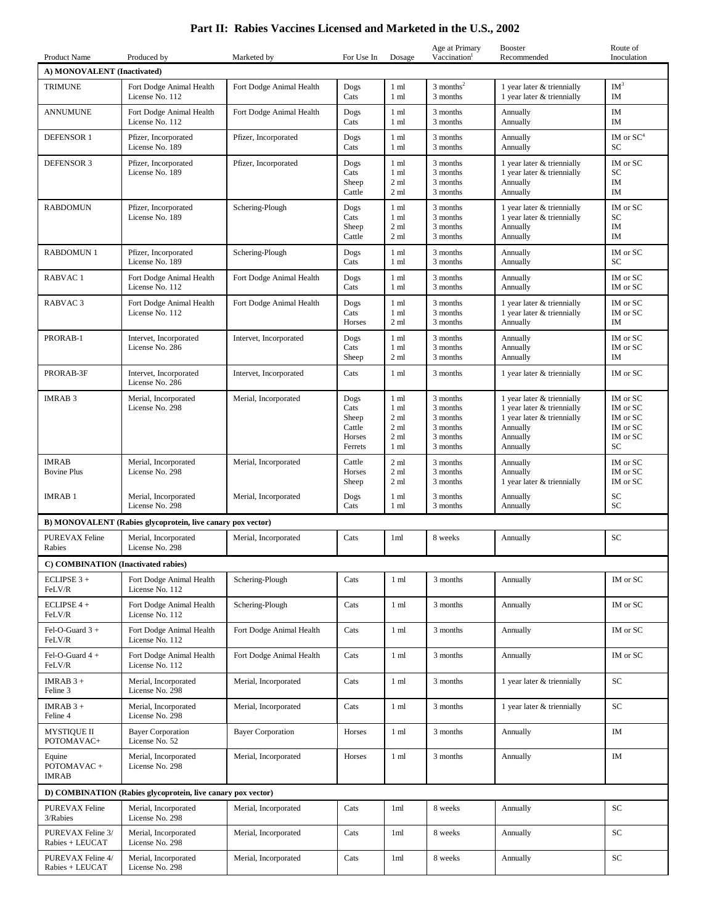| Product Name                                                 | Produced by                                                 | Marketed by              | For Use In                                           | Dosage                                                                                            | Age at Primary<br>Vaccination <sup>1</sup>                           | <b>Booster</b><br>Recommended                                                                                              | Route of<br>Inoculation                                        |
|--------------------------------------------------------------|-------------------------------------------------------------|--------------------------|------------------------------------------------------|---------------------------------------------------------------------------------------------------|----------------------------------------------------------------------|----------------------------------------------------------------------------------------------------------------------------|----------------------------------------------------------------|
| A) MONOVALENT (Inactivated)                                  |                                                             |                          |                                                      |                                                                                                   |                                                                      |                                                                                                                            |                                                                |
| <b>TRIMUNE</b>                                               | Fort Dodge Animal Health<br>License No. 112                 | Fort Dodge Animal Health | Dogs<br>Cats                                         | $1 \text{ ml}$<br>$1 \text{ ml}$                                                                  | $3$ months <sup>2</sup><br>3 months                                  | 1 year later & triennially<br>1 year later & triennially                                                                   | IM <sup>3</sup><br>IM                                          |
| <b>ANNUMUNE</b>                                              | Fort Dodge Animal Health<br>License No. 112                 | Fort Dodge Animal Health | Dogs<br>Cats                                         | 1 <sub>m1</sub><br>$1 \text{ ml}$                                                                 | 3 months<br>3 months                                                 | Annually<br>Annually                                                                                                       | IM<br>IM                                                       |
| <b>DEFENSOR 1</b>                                            | Pfizer, Incorporated<br>License No. 189                     | Pfizer, Incorporated     | Dogs<br>Cats                                         | $1 \text{ ml}$<br>1 <sub>m1</sub>                                                                 | 3 months<br>3 months                                                 | Annually<br>Annually                                                                                                       | IM or $SC^4$<br>SC                                             |
| DEFENSOR 3                                                   | Pfizer, Incorporated<br>License No. 189                     | Pfizer, Incorporated     | Dogs<br>Cats<br>Sheep<br>Cattle                      | $1 \text{ ml}$<br>$1 \text{ ml}$<br>2 <sub>ml</sub><br>2 <sub>ml</sub>                            | 3 months<br>3 months<br>3 months<br>3 months                         | 1 year later & triennially<br>1 year later & triennially<br>Annually<br>Annually                                           | IM or SC<br>SC<br>IM<br>IM                                     |
| <b>RABDOMUN</b>                                              | Pfizer, Incorporated<br>License No. 189                     | Schering-Plough          | Dogs<br>Cats<br>Sheep<br>Cattle                      | $1 \text{ ml}$<br>1 <sub>m1</sub><br>2 <sub>ml</sub><br>2 <sub>ml</sub>                           | 3 months<br>3 months<br>3 months<br>3 months                         | 1 year later & triennially<br>1 year later & triennially<br>Annually<br>Annually                                           | IM or SC<br>SC<br>IM<br><b>IM</b>                              |
| <b>RABDOMUN1</b>                                             | Pfizer, Incorporated<br>License No. 189                     | Schering-Plough          | Dogs<br>Cats                                         | 1 <sub>m1</sub><br>$1 \text{ ml}$                                                                 | 3 months<br>3 months                                                 | Annually<br>Annually                                                                                                       | IM or SC<br><b>SC</b>                                          |
| RABVAC <sub>1</sub>                                          | Fort Dodge Animal Health<br>License No. 112                 | Fort Dodge Animal Health | Dogs<br>Cats                                         | $1 \text{ ml}$<br>1 <sub>m1</sub>                                                                 | 3 months<br>3 months                                                 | Annually<br>Annually                                                                                                       | IM or SC<br>IM or SC                                           |
| RABVAC <sub>3</sub>                                          | Fort Dodge Animal Health<br>License No. 112                 | Fort Dodge Animal Health | Dogs<br>Cats<br>Horses                               | $1 \text{ ml}$<br>$1 \text{ ml}$<br>2 <sub>m1</sub>                                               | 3 months<br>3 months<br>3 months                                     | 1 year later & triennially<br>1 year later & triennially<br>Annually                                                       | IM or SC<br>IM or SC<br>IM                                     |
| PRORAB-1                                                     | Intervet, Incorporated<br>License No. 286                   | Intervet, Incorporated   | Dogs<br>Cats<br>Sheep                                | 1 <sub>m1</sub><br>$1 \text{ ml}$<br>2 <sub>m1</sub>                                              | 3 months<br>3 months<br>3 months                                     | Annually<br>Annually<br>Annually                                                                                           | IM or SC<br>IM or SC<br><b>IM</b>                              |
| PRORAB-3F                                                    | Intervet, Incorporated<br>License No. 286                   | Intervet, Incorporated   | Cats                                                 | $1 \text{ ml}$                                                                                    | 3 months                                                             | 1 year later & triennially                                                                                                 | IM or SC                                                       |
| <b>IMRAB3</b>                                                | Merial, Incorporated<br>License No. 298                     | Merial, Incorporated     | Dogs<br>Cats<br>Sheep<br>Cattle<br>Horses<br>Ferrets | $1 \text{ ml}$<br>$1 \text{ ml}$<br>2 <sub>ml</sub><br>2 <sub>m1</sub><br>2 <sub>ml</sub><br>1 ml | 3 months<br>3 months<br>3 months<br>3 months<br>3 months<br>3 months | 1 year later & triennially<br>1 year later & triennially<br>1 year later & triennially<br>Annually<br>Annually<br>Annually | IM or SC<br>IM or SC<br>IM or SC<br>IM or SC<br>IM or SC<br>SC |
| <b>IMRAB</b><br><b>Bovine Plus</b>                           | Merial, Incorporated<br>License No. 298                     | Merial, Incorporated     | Cattle<br>Horses<br>Sheep                            | 2 <sub>ml</sub><br>2 <sub>ml</sub><br>2 <sub>ml</sub>                                             | 3 months<br>3 months<br>3 months                                     | Annually<br>Annually<br>1 year later & triennially                                                                         | IM or SC<br>IM or SC<br>IM or SC                               |
| <b>IMRAB1</b>                                                | Merial, Incorporated<br>License No. 298                     | Merial, Incorporated     | Dogs<br>Cats                                         | 1 ml<br>1 <sub>m1</sub>                                                                           | 3 months<br>3 months                                                 | Annually<br>Annually                                                                                                       | SC<br>SC                                                       |
|                                                              | B) MONOVALENT (Rabies glycoprotein, live canary pox vector) |                          |                                                      |                                                                                                   |                                                                      |                                                                                                                            |                                                                |
| <b>PUREVAX Feline</b><br>Rabies                              | Merial, Incorporated<br>License No. 298                     | Merial, Incorporated     | Cats                                                 | 1 <sub>m1</sub>                                                                                   | 8 weeks                                                              | Annually                                                                                                                   | SC                                                             |
|                                                              | C) COMBINATION (Inactivated rabies)                         |                          |                                                      |                                                                                                   |                                                                      |                                                                                                                            |                                                                |
| ECLIPSE $3 +$<br>FeLV/R                                      | Fort Dodge Animal Health<br>License No. 112                 | Schering-Plough          | Cats                                                 | 1 ml                                                                                              | 3 months                                                             | Annually                                                                                                                   | IM or SC                                                       |
| ECLIPSE 4 +<br>FeLV/R                                        | Fort Dodge Animal Health<br>License No. 112                 | Schering-Plough          | Cats                                                 | $1 \text{ ml}$                                                                                    | 3 months                                                             | Annually                                                                                                                   | IM or SC                                                       |
| Fel-O-Guard $3 +$<br>FeLV/R                                  | Fort Dodge Animal Health<br>License No. 112                 | Fort Dodge Animal Health | Cats                                                 | $1 \text{ ml}$                                                                                    | 3 months                                                             | Annually                                                                                                                   | IM or SC                                                       |
| Fel-O-Guard 4+<br>FeLV/R                                     | Fort Dodge Animal Health<br>License No. 112                 | Fort Dodge Animal Health | Cats                                                 | $1 \text{ ml}$                                                                                    | 3 months                                                             | Annually                                                                                                                   | IM or SC                                                       |
| IMRAB $3 +$<br>Feline 3                                      | Merial, Incorporated<br>License No. 298                     | Merial, Incorporated     | Cats                                                 | $1 \text{ ml}$                                                                                    | 3 months                                                             | 1 year later & triennially                                                                                                 | SC                                                             |
| IMRAB $3 +$<br>Feline 4                                      | Merial, Incorporated<br>License No. 298                     | Merial, Incorporated     | Cats                                                 | $1 \text{ ml}$                                                                                    | 3 months                                                             | 1 year later & triennially                                                                                                 | SC                                                             |
| <b>MYSTIQUE II</b><br>POTOMAVAC+                             | <b>Bayer Corporation</b><br>License No. 52                  | <b>Bayer Corporation</b> | Horses                                               | $1 \text{ ml}$                                                                                    | 3 months                                                             | Annually                                                                                                                   | IM                                                             |
| Equine<br>POTOMAVAC+<br><b>IMRAB</b>                         | Merial, Incorporated<br>License No. 298                     | Merial, Incorporated     | Horses                                               | 1 ml                                                                                              | 3 months                                                             | Annually                                                                                                                   | IM                                                             |
| D) COMBINATION (Rabies glycoprotein, live canary pox vector) |                                                             |                          |                                                      |                                                                                                   |                                                                      |                                                                                                                            |                                                                |
| <b>PUREVAX Feline</b><br>3/Rabies                            | Merial, Incorporated<br>License No. 298                     | Merial, Incorporated     | Cats                                                 | 1 <sub>ml</sub>                                                                                   | 8 weeks                                                              | Annually                                                                                                                   | SC                                                             |
| PUREVAX Feline 3/<br>Rabies + LEUCAT                         | Merial, Incorporated<br>License No. 298                     | Merial, Incorporated     | Cats                                                 | 1 <sub>ml</sub>                                                                                   | 8 weeks                                                              | Annually                                                                                                                   | SC                                                             |
| PUREVAX Feline 4/<br>Rabies + LEUCAT                         | Merial, Incorporated<br>License No. 298                     | Merial, Incorporated     | Cats                                                 | 1 <sub>ml</sub>                                                                                   | 8 weeks                                                              | Annually                                                                                                                   | SC                                                             |

# **Part II: Rabies Vaccines Licensed and Marketed in the U.S., 2002**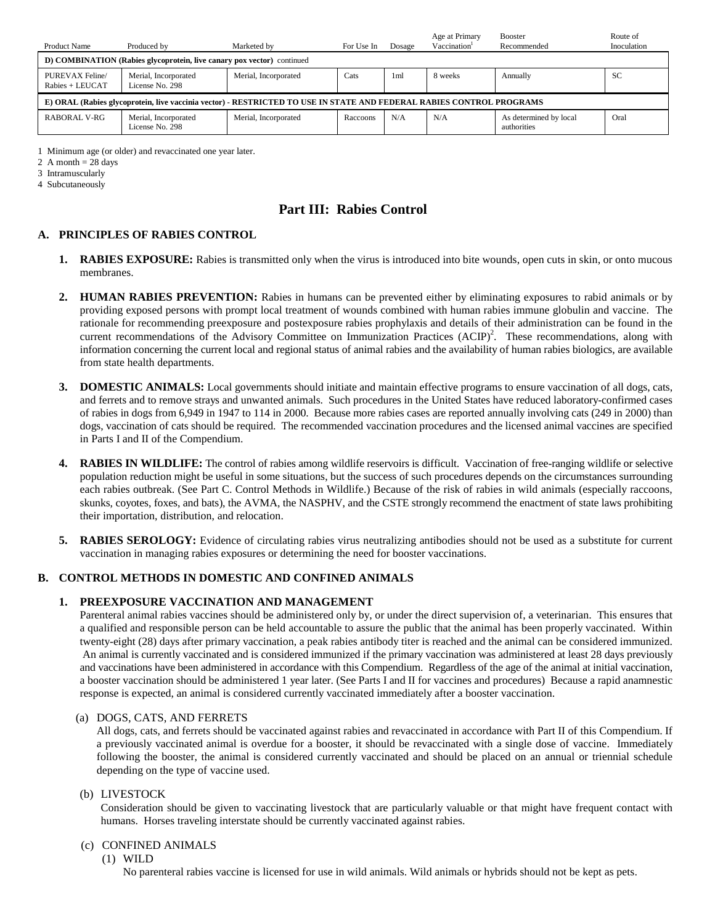|                                                                                                                      | Product Name                       | Produced by                             | Marketed by          | For Use In | Dosage          | Age at Primary<br>Vaccination | <b>Booster</b><br>Recommended         | Route of<br>Inoculation |
|----------------------------------------------------------------------------------------------------------------------|------------------------------------|-----------------------------------------|----------------------|------------|-----------------|-------------------------------|---------------------------------------|-------------------------|
| D) COMBINATION (Rabies glycoprotein, live canary pox vector) continued                                               |                                    |                                         |                      |            |                 |                               |                                       |                         |
|                                                                                                                      | PUREVAX Feline/<br>Rabies + LEUCAT | Merial, Incorporated<br>License No. 298 | Merial, Incorporated | Cats       | 1 <sub>ml</sub> | 8 weeks                       | Annually                              | SC                      |
| E) ORAL (Rabies glycoprotein, live vaccinia vector) - RESTRICTED TO USE IN STATE AND FEDERAL RABIES CONTROL PROGRAMS |                                    |                                         |                      |            |                 |                               |                                       |                         |
|                                                                                                                      | <b>RABORAL V-RG</b>                | Merial, Incorporated<br>License No. 298 | Merial, Incorporated | Raccoons   | N/A             | N/A                           | As determined by local<br>authorities | Oral                    |

1 Minimum age (or older) and revaccinated one year later.

2 A month  $= 28$  days

3 Intramuscularly

# 4 Subcutaneously

# **Part III: Rabies Control**

# **A. PRINCIPLES OF RABIES CONTROL**

- **1. RABIES EXPOSURE:** Rabies is transmitted only when the virus is introduced into bite wounds, open cuts in skin, or onto mucous membranes.
- **2. HUMAN RABIES PREVENTION:** Rabies in humans can be prevented either by eliminating exposures to rabid animals or by providing exposed persons with prompt local treatment of wounds combined with human rabies immune globulin and vaccine. The rationale for recommending preexposure and postexposure rabies prophylaxis and details of their administration can be found in the current recommendations of the Advisory Committee on Immunization Practices (ACIP)<sup>2</sup>. These recommendations, along with information concerning the current local and regional status of animal rabies and the availability of human rabies biologics, are available from state health departments.
- **3. DOMESTIC ANIMALS:** Local governments should initiate and maintain effective programs to ensure vaccination of all dogs, cats, and ferrets and to remove strays and unwanted animals. Such procedures in the United States have reduced laboratory-confirmed cases of rabies in dogs from 6,949 in 1947 to 114 in 2000. Because more rabies cases are reported annually involving cats (249 in 2000) than dogs, vaccination of cats should be required. The recommended vaccination procedures and the licensed animal vaccines are specified in Parts I and II of the Compendium.
- **4. RABIES IN WILDLIFE:** The control of rabies among wildlife reservoirs is difficult. Vaccination of free-ranging wildlife or selective population reduction might be useful in some situations, but the success of such procedures depends on the circumstances surrounding each rabies outbreak. (See Part C. Control Methods in Wildlife.) Because of the risk of rabies in wild animals (especially raccoons, skunks, coyotes, foxes, and bats), the AVMA, the NASPHV, and the CSTE strongly recommend the enactment of state laws prohibiting their importation, distribution, and relocation.
- **5. RABIES SEROLOGY:** Evidence of circulating rabies virus neutralizing antibodies should not be used as a substitute for current vaccination in managing rabies exposures or determining the need for booster vaccinations.

# **B. CONTROL METHODS IN DOMESTIC AND CONFINED ANIMALS**

# **1. PREEXPOSURE VACCINATION AND MANAGEMENT**

Parenteral animal rabies vaccines should be administered only by, or under the direct supervision of, a veterinarian. This ensures that a qualified and responsible person can be held accountable to assure the public that the animal has been properly vaccinated. Within twenty-eight (28) days after primary vaccination, a peak rabies antibody titer is reached and the animal can be considered immunized. An animal is currently vaccinated and is considered immunized if the primary vaccination was administered at least 28 days previously and vaccinations have been administered in accordance with this Compendium. Regardless of the age of the animal at initial vaccination, a booster vaccination should be administered 1 year later. (See Parts I and II for vaccines and procedures) Because a rapid anamnestic response is expected, an animal is considered currently vaccinated immediately after a booster vaccination.

# (a) DOGS, CATS, AND FERRETS

All dogs, cats, and ferrets should be vaccinated against rabies and revaccinated in accordance with Part II of this Compendium. If a previously vaccinated animal is overdue for a booster, it should be revaccinated with a single dose of vaccine. Immediately following the booster, the animal is considered currently vaccinated and should be placed on an annual or triennial schedule depending on the type of vaccine used.

#### (b) LIVESTOCK

Consideration should be given to vaccinating livestock that are particularly valuable or that might have frequent contact with humans. Horses traveling interstate should be currently vaccinated against rabies.

# (c) CONFINED ANIMALS

#### (1) WILD

No parenteral rabies vaccine is licensed for use in wild animals. Wild animals or hybrids should not be kept as pets.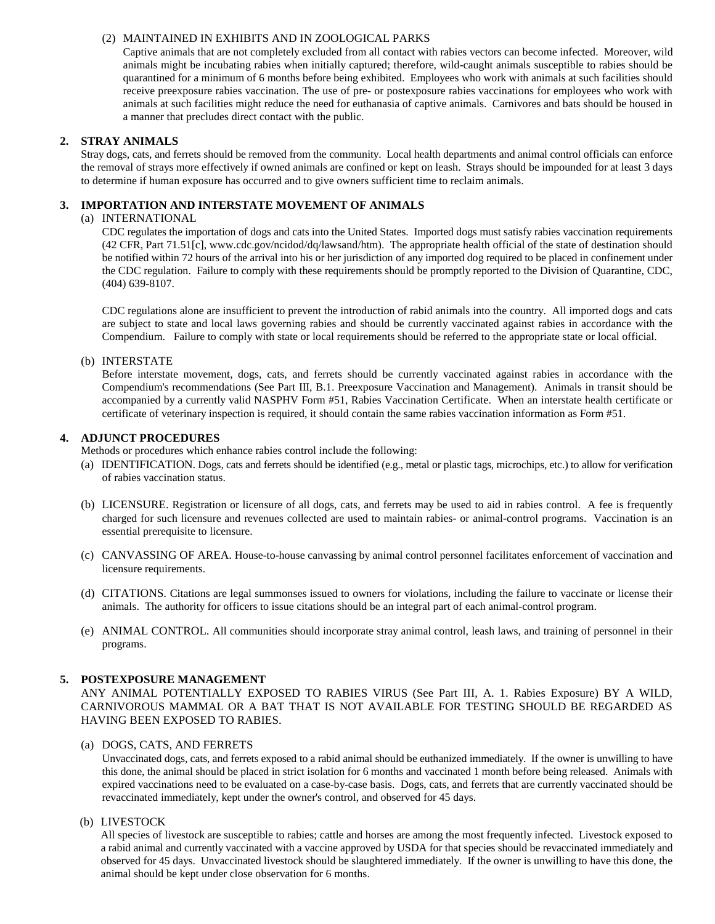# (2) MAINTAINED IN EXHIBITS AND IN ZOOLOGICAL PARKS

Captive animals that are not completely excluded from all contact with rabies vectors can become infected. Moreover, wild animals might be incubating rabies when initially captured; therefore, wild-caught animals susceptible to rabies should be quarantined for a minimum of 6 months before being exhibited. Employees who work with animals at such facilities should receive preexposure rabies vaccination. The use of pre- or postexposure rabies vaccinations for employees who work with animals at such facilities might reduce the need for euthanasia of captive animals. Carnivores and bats should be housed in a manner that precludes direct contact with the public.

## **2. STRAY ANIMALS**

Stray dogs, cats, and ferrets should be removed from the community. Local health departments and animal control officials can enforce the removal of strays more effectively if owned animals are confined or kept on leash. Strays should be impounded for at least 3 days to determine if human exposure has occurred and to give owners sufficient time to reclaim animals.

# **3. IMPORTATION AND INTERSTATE MOVEMENT OF ANIMALS**

### (a) INTERNATIONAL

CDC regulates the importation of dogs and cats into the United States. Imported dogs must satisfy rabies vaccination requirements (42 CFR, Part 71.51[c], www.cdc.gov/ncidod/dq/lawsand/htm). The appropriate health official of the state of destination should be notified within 72 hours of the arrival into his or her jurisdiction of any imported dog required to be placed in confinement under the CDC regulation. Failure to comply with these requirements should be promptly reported to the Division of Quarantine, CDC, (404) 639-8107.

CDC regulations alone are insufficient to prevent the introduction of rabid animals into the country. All imported dogs and cats are subject to state and local laws governing rabies and should be currently vaccinated against rabies in accordance with the Compendium. Failure to comply with state or local requirements should be referred to the appropriate state or local official.

### (b) INTERSTATE

Before interstate movement, dogs, cats, and ferrets should be currently vaccinated against rabies in accordance with the Compendium's recommendations (See Part III, B.1. Preexposure Vaccination and Management). Animals in transit should be accompanied by a currently valid NASPHV Form #51, Rabies Vaccination Certificate. When an interstate health certificate or certificate of veterinary inspection is required, it should contain the same rabies vaccination information as Form #51.

## **4. ADJUNCT PROCEDURES**

Methods or procedures which enhance rabies control include the following:

- (a) IDENTIFICATION. Dogs, cats and ferrets should be identified (e.g., metal or plastic tags, microchips, etc.) to allow for verification of rabies vaccination status.
- (b) LICENSURE. Registration or licensure of all dogs, cats, and ferrets may be used to aid in rabies control. A fee is frequently charged for such licensure and revenues collected are used to maintain rabies- or animal-control programs. Vaccination is an essential prerequisite to licensure.
- (c) CANVASSING OF AREA. House-to-house canvassing by animal control personnel facilitates enforcement of vaccination and licensure requirements.
- (d) CITATIONS. Citations are legal summonses issued to owners for violations, including the failure to vaccinate or license their animals. The authority for officers to issue citations should be an integral part of each animal-control program.
- (e) ANIMAL CONTROL. All communities should incorporate stray animal control, leash laws, and training of personnel in their programs.

#### **5. POSTEXPOSURE MANAGEMENT**

ANY ANIMAL POTENTIALLY EXPOSED TO RABIES VIRUS (See Part III, A. 1. Rabies Exposure) BY A WILD, CARNIVOROUS MAMMAL OR A BAT THAT IS NOT AVAILABLE FOR TESTING SHOULD BE REGARDED AS HAVING BEEN EXPOSED TO RABIES.

#### (a) DOGS, CATS, AND FERRETS

Unvaccinated dogs, cats, and ferrets exposed to a rabid animal should be euthanized immediately. If the owner is unwilling to have this done, the animal should be placed in strict isolation for 6 months and vaccinated 1 month before being released. Animals with expired vaccinations need to be evaluated on a case-by-case basis. Dogs, cats, and ferrets that are currently vaccinated should be revaccinated immediately, kept under the owner's control, and observed for 45 days.

### (b) LIVESTOCK

All species of livestock are susceptible to rabies; cattle and horses are among the most frequently infected. Livestock exposed to a rabid animal and currently vaccinated with a vaccine approved by USDA for that species should be revaccinated immediately and observed for 45 days. Unvaccinated livestock should be slaughtered immediately. If the owner is unwilling to have this done, the animal should be kept under close observation for 6 months.